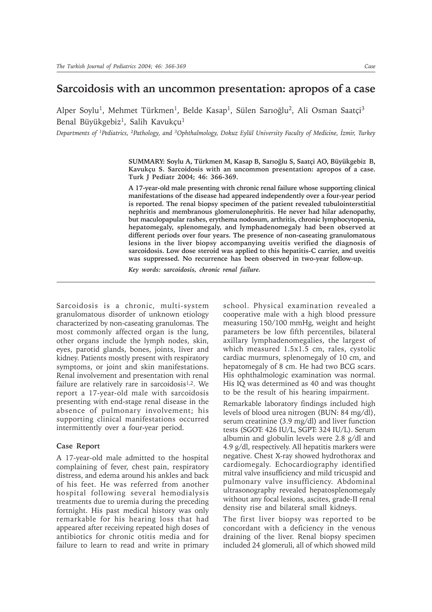## **Sarcoidosis with an uncommon presentation: apropos of a case**

Alper Soylu<sup>1</sup>, Mehmet Türkmen<sup>1</sup>, Belde Kasap<sup>1</sup>, Sülen Sarıoğlu<sup>2</sup>, Ali Osman Saatçi<sup>3</sup> Benal Büyükgebiz<sup>1</sup>, Salih Kavukçu<sup>1</sup>

*Departments of <sup>1</sup>Pediatrics, <sup>2</sup>Pathology, and <sup>3</sup>Ophthalmology, Dokuz Eylül University Faculty of Medicine, İzmir, Turkey* 

SUMMARY: Soylu A, Türkmen M, Kasap B, Sarıoğlu S, Saatçi AO, Büyükgebiz B, Kavukçu S. Sarcoidosis with an uncommon presentation: apropos of a case. **Turk J Pediatr 2004; 46: 366-369.**

**A 17-year-old male presenting with chronic renal failure whose supporting clinical manifestations of the disease had appeared independently over a four-year period is reported. The renal biopsy specimen of the patient revealed tubulointerstitial nephritis and membranous glomerulonephritis. He never had hilar adenopathy, but maculopapular rashes, erythema nodosum, arthritis, chronic lymphocytopenia, hepatomegaly, splenomegaly, and lymphadenomegaly had been observed at different periods over four years. The presence of non-caseating granulomatous lesions in the liver biopsy accompanying uveitis verified the diagnosis of sarcoidosis. Low dose steroid was applied to this hepatitis-C carrier, and uveitis was suppressed. No recurrence has been observed in two-year follow-up.**

*Key words: sarcoidosis, chronic renal failure.*

Sarcoidosis is a chronic, multi-system granulomatous disorder of unknown etiology characterized by non-caseating granulomas. The most commonly affected organ is the lung, other organs include the lymph nodes, skin, eyes, parotid glands, bones, joints, liver and kidney. Patients mostly present with respiratory symptoms, or joint and skin manifestations. Renal involvement and presentation with renal failure are relatively rare in sarcoidosis<sup>1,2</sup>. We report a 17-year-old male with sarcoidosis presenting with end-stage renal disease in the absence of pulmonary involvement; his supporting clinical manifestations occurred intermittently over a four-year period.

## **Case Report**

A 17-year-old male admitted to the hospital complaining of fever, chest pain, respiratory distress, and edema around his ankles and back of his feet. He was referred from another hospital following several hemodialysis treatments due to uremia during the preceding fortnight. His past medical history was only remarkable for his hearing loss that had appeared after receiving repeated high doses of antibiotics for chronic otitis media and for failure to learn to read and write in primary school. Physical examination revealed a cooperative male with a high blood pressure measuring 150/100 mmHg, weight and height parameters be low fifth percentiles, bilateral axillary lymphadenomegalies, the largest of which measured 1.5x1.5 cm, rales, cystolic cardiac murmurs, splenomegaly of 10 cm, and hepatomegaly of 8 cm. He had two BCG scars. His ophthalmologic examination was normal. His IQ was determined as 40 and was thought to be the result of his hearing impairment.

Remarkable laboratory findings included high levels of blood urea nitrogen (BUN: 84 mg/dl), serum creatinine (3.9 mg/dl) and liver function tests (SGOT: 426 IU/L, SGPT: 324 IU/L). Serum albumin and globulin levels were 2.8 g/dl and 4.9 g/dl, respectively. All hepatitis markers were negative. Chest X-ray showed hydrothorax and cardiomegaly. Echocardiography identified mitral valve insufficiency and mild tricuspid and pulmonary valve insufficiency. Abdominal ultrasonography revealed hepatosplenomegaly without any focal lesions, ascites, grade-II renal density rise and bilateral small kidneys.

The first liver biopsy was reported to be concordant with a deficiency in the venous draining of the liver. Renal biopsy specimen included 24 glomeruli, all of which showed mild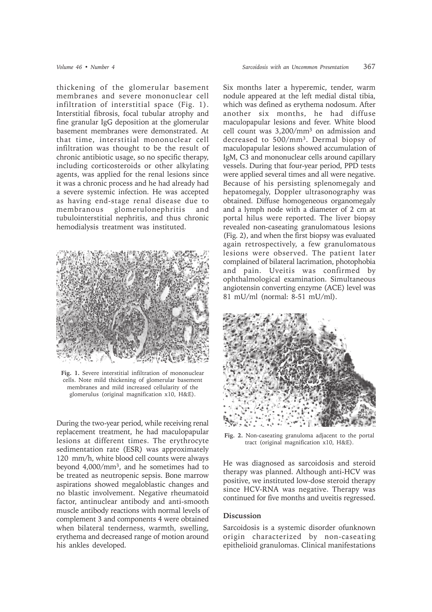thickening of the glomerular basement membranes and severe mononuclear cell infiltration of interstitial space (Fig. 1). Interstitial fibrosis, focal tubular atrophy and fine granular IgG deposition at the glomerular basement membranes were demonstrated. At that time, interstitial mononuclear cell infiltration was thought to be the result of chronic antibiotic usage, so no specific therapy, including corticosteroids or other alkylating agents, was applied for the renal lesions since it was a chronic process and he had already had a severe systemic infection. He was accepted as having end-stage renal disease due to membranous glomerulonephritis and tubulointerstitial nephritis, and thus chronic hemodialysis treatment was instituted.



**Fig. 1.** Severe interstitial infiltration of mononuclear cells. Note mild thickening of glomerular basement membranes and mild increased cellularity of the glomerulus (original magnification x10, H&E).

During the two-year period, while receiving renal replacement treatment, he had maculopapular lesions at different times. The erythrocyte sedimentation rate (ESR) was approximately 120 mm/h, white blood cell counts were always beyond 4,000/mm3, and he sometimes had to be treated as neutropenic sepsis. Bone marrow aspirations showed megaloblastic changes and no blastic involvement. Negative rheumatoid factor, antinuclear antibody and anti-smooth muscle antibody reactions with normal levels of complement 3 and components 4 were obtained when bilateral tenderness, warmth, swelling, erythema and decreased range of motion around his ankles developed.

Six months later a hyperemic, tender, warm nodule appeared at the left medial distal tibia, which was defined as erythema nodosum. After another six months, he had diffuse maculopapular lesions and fever. White blood cell count was 3,200/mm3 on admission and decreased to 500/mm3. Dermal biopsy of maculopapular lesions showed accumulation of IgM, C3 and mononuclear cells around capillary vessels. During that four-year period, PPD tests were applied several times and all were negative. Because of his persisting splenomegaly and hepatomegaly, Doppler ultrasonography was obtained. Diffuse homogeneous organomegaly and a lymph node with a diameter of 2 cm at portal hilus were reported. The liver biopsy revealed non-caseating granulomatous lesions (Fig. 2), and when the first biopsy was evaluated again retrospectively, a few granulomatous lesions were observed. The patient later complained of bilateral lacrimation, photophobia and pain. Uveitis was confirmed by ophthalmological examination. Simultaneous angiotensin converting enzyme (ACE) level was 81 mU/ml (normal: 8-51 mU/ml).



**Fig. 2.** Non-caseating granuloma adjacent to the portal tract (original magnification x10, H&E).

He was diagnosed as sarcoidosis and steroid therapy was planned. Although anti-HCV was positive, we instituted low-dose steroid therapy since HCV-RNA was negative. Therapy was continued for five months and uveitis regressed.

## **Discussion**

Sarcoidosis is a systemic disorder ofunknown origin characterized by non-caseating epithelioid granulomas. Clinical manifestations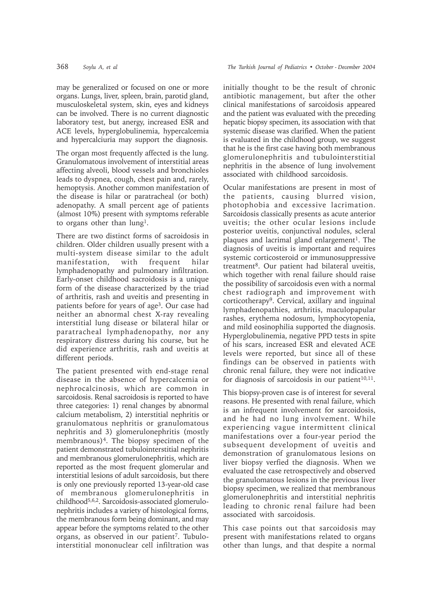may be generalized or focused on one or more organs. Lungs, liver, spleen, brain, parotid gland, musculoskeletal system, skin, eyes and kidneys can be involved. There is no current diagnostic laboratory test, but anergy, increased ESR and ACE levels, hyperglobulinemia, hypercalcemia and hypercalciuria may support the diagnosis.

The organ most frequently affected is the lung. Granulomatous involvement of interstitial areas affecting alveoli, blood vessels and bronchioles leads to dyspnea, cough, chest pain and, rarely, hemoptysis. Another common manifestation of the disease is hilar or paratracheal (or both) adenopathy. A small percent age of patients (almost 10%) present with symptoms referable to organs other than lung<sup>1</sup>.

There are two distinct forms of sacroidosis in children. Older children usually present with a multi-system disease similar to the adult manifestation, with frequent hilar lymphadenopathy and pulmonary infiltration. Early-onset childhood sacroidosis is a unique form of the disease characterized by the triad of arthritis, rash and uveitis and presenting in patients before for years of age3. Our case had neither an abnormal chest X-ray revealing interstitial lung disease or bilateral hilar or paratracheal lymphadenopathy, nor any respiratory distress during his course, but he did experience arthritis, rash and uveitis at different periods.

The patient presented with end-stage renal disease in the absence of hypercalcemia or nephrocalcinosis, which are common in sarcoidosis. Renal sacroidosis is reported to have three categories: 1) renal changes by abnormal calcium metabolism, 2) interstitial nephritis or granulomatous nephritis or granulomatous nephritis and 3) glomerulonephritis (mostly membranous)<sup>4</sup>. The biopsy specimen of the patient demonstrated tubulointerstitial nephritis and membranous glomerulonephritis, which are reported as the most frequent glomerular and interstitial lesions of adult sarcoidosis, but there is only one previously reported 13-year-old case of membranous glomerulonephritis in childhood5,6,2. Sarcoidosis-associated glomerulonephritis includes a variety of histological forms, the membranous form being dominant, and may appear before the symptoms related to the other organs, as observed in our patient<sup>7</sup>. Tubulointerstitial mononuclear cell infiltration was

initially thought to be the result of chronic antibiotic management, but after the other clinical manifestations of sarcoidosis appeared and the patient was evaluated with the preceding hepatic biopsy specimen, its association with that systemic disease was clarified. When the patient is evaluated in the childhood group, we suggest that he is the first case having both membranous glomerulonephritis and tubulointerstitial nephritis in the absence of lung involvement associated with childhood sarcoidosis.

Ocular manifestations are present in most of the patients, causing blurred vision, photophobia and excessive lacrimation. Sarcoidosis classically presents as acute anterior uveitis; the other ocular lesions include posterior uveitis, conjunctival nodules, scleral plaques and lacrimal gland enlargement<sup>1</sup>. The diagnosis of uveitis is important and requires systemic corticosteroid or immunosuppressive treatment<sup>8</sup>. Our patient had bilateral uveitis, which together with renal failure should raise the possibility of sarcoidosis even with a normal chest radiograph and improvement with corticotherapy9. Cervical, axillary and inguinal lymphadenopathies, arthritis, maculopapular rashes, erythema nodosum, lymphocytopenia, and mild eosinophilia supported the diagnosis. Hyperglobulinemia, negative PPD tests in spite of his scars, increased ESR and elevated ACE levels were reported, but since all of these findings can be observed in patients with chronic renal failure, they were not indicative for diagnosis of sarcoidosis in our patient $10,11$ .

This biopsy-proven case is of interest for several reasons. He presented with renal failure, which is an infrequent involvement for sarcoidosis, and he had no lung involvement. While experiencing vague intermittent clinical manifestations over a four-year period the subsequent development of uveitis and demonstration of granulomatous lesions on liver biopsy verfied the diagnosis. When we evaluated the case retrospectively and observed the granulomatous lesions in the previous liver biopsy specimen, we realized that membranous glomerulonephritis and interstitial nephritis leading to chronic renal failure had been associated with sarcoidosis.

This case points out that sarcoidosis may present with manifestations related to organs other than lungs, and that despite a normal